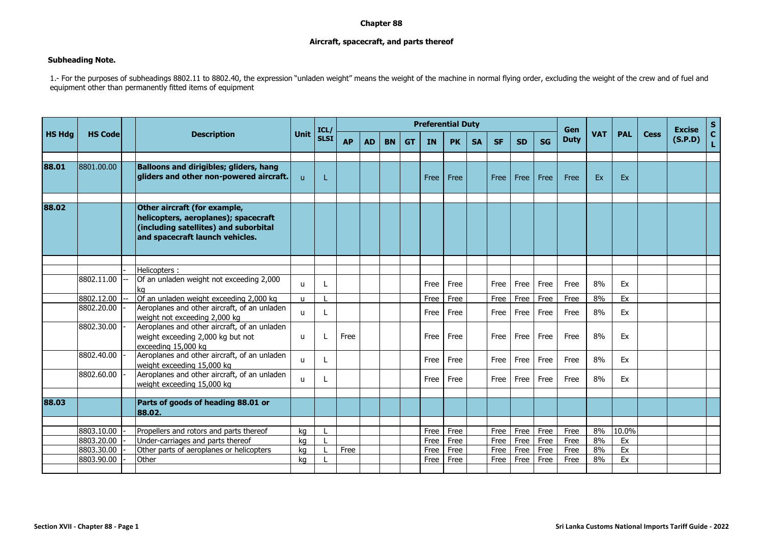## **Chapter 88**

## **Aircraft, spacecraft, and parts thereof**

## **Subheading Note.**

1.- For the purposes of subheadings 8802.11 to 8802.40, the expression "unladen weight" means the weight of the machine in normal flying order, excluding the weight of the crew and of fuel and equipment other than permanently fitted items of equipment

|               |                | <b>Description</b>                                                                                                                               |              | ICL/        | <b>Preferential Duty</b> |           |           |           |           |           |           |           |           | Gen       |             |            |            | <b>Excise</b> |         |             |
|---------------|----------------|--------------------------------------------------------------------------------------------------------------------------------------------------|--------------|-------------|--------------------------|-----------|-----------|-----------|-----------|-----------|-----------|-----------|-----------|-----------|-------------|------------|------------|---------------|---------|-------------|
| <b>HS Hdg</b> | <b>HS Code</b> |                                                                                                                                                  | <b>Unit</b>  | <b>SLSI</b> | <b>AP</b>                | <b>AD</b> | <b>BN</b> | <b>GT</b> | <b>IN</b> | <b>PK</b> | <b>SA</b> | <b>SF</b> | <b>SD</b> | <b>SG</b> | <b>Duty</b> | <b>VAT</b> | <b>PAL</b> | <b>Cess</b>   | (S.P.D) | S<br>C<br>L |
|               |                |                                                                                                                                                  |              |             |                          |           |           |           |           |           |           |           |           |           |             |            |            |               |         |             |
| 88.01         | 8801.00.00     | <b>Balloons and dirigibles; gliders, hang</b><br>gliders and other non-powered aircraft.                                                         | $\mathbf{u}$ | T.          |                          |           |           |           | Free      | Free      |           | Free      | Free      | Free      | Free        | Ex         | Ex         |               |         |             |
|               |                |                                                                                                                                                  |              |             |                          |           |           |           |           |           |           |           |           |           |             |            |            |               |         |             |
| 88.02         |                | Other aircraft (for example,<br>helicopters, aeroplanes); spacecraft<br>(including satellites) and suborbital<br>and spacecraft launch vehicles. |              |             |                          |           |           |           |           |           |           |           |           |           |             |            |            |               |         |             |
|               |                |                                                                                                                                                  |              |             |                          |           |           |           |           |           |           |           |           |           |             |            |            |               |         |             |
|               |                | Helicopters:                                                                                                                                     |              |             |                          |           |           |           |           |           |           |           |           |           |             |            |            |               |         |             |
|               | 8802.11.00     | Of an unladen weight not exceeding 2,000<br>kq                                                                                                   | $\mathbf{u}$ |             |                          |           |           |           | Free      | Free      |           | Free      | Free      | Free      | Free        | 8%         | Ex         |               |         |             |
|               | 8802.12.00     | Of an unladen weight exceeding 2,000 kg                                                                                                          | $\mathbf{u}$ |             |                          |           |           |           | Free      | Free      |           | Free      | Free      | Free      | Free        | 8%         | Ex         |               |         |             |
|               | 8802.20.00     | Aeroplanes and other aircraft, of an unladen<br>weight not exceeding 2,000 kg                                                                    | u            |             |                          |           |           |           | Free      | Free      |           | Free      | Free      | Free      | Free        | 8%         | Ex         |               |         |             |
|               | 8802.30.00     | Aeroplanes and other aircraft, of an unladen<br>weight exceeding 2,000 kg but not<br>exceeding 15,000 kg                                         | $\mathbf{u}$ | L           | Free                     |           |           |           | Free      | Free      |           | Free      | Free      | Free      | Free        | 8%         | Ex         |               |         |             |
|               | 8802.40.00     | Aeroplanes and other aircraft, of an unladen<br>weight exceeding 15,000 kg                                                                       | $\mathbf{u}$ | L           |                          |           |           |           | Free      | Free      |           | Free      | Free      | Free      | Free        | 8%         | Ex         |               |         |             |
|               | 8802.60.00     | Aeroplanes and other aircraft, of an unladen<br>weight exceeding 15,000 kg                                                                       | $\mathbf{u}$ | L           |                          |           |           |           | Free      | Free      |           | Free      | Free      | Free      | Free        | 8%         | Ex         |               |         |             |
|               |                |                                                                                                                                                  |              |             |                          |           |           |           |           |           |           |           |           |           |             |            |            |               |         |             |
| 88.03         |                | Parts of goods of heading 88.01 or<br>88.02.                                                                                                     |              |             |                          |           |           |           |           |           |           |           |           |           |             |            |            |               |         |             |
|               |                |                                                                                                                                                  |              |             |                          |           |           |           |           |           |           |           |           |           |             |            |            |               |         |             |
|               | 8803.10.00     | Propellers and rotors and parts thereof                                                                                                          | ka           |             |                          |           |           |           | Free      | Free      |           | Free      | Free      | Free      | Free        | 8%         | 10.0%      |               |         |             |
|               | 8803.20.00     | Under-carriages and parts thereof                                                                                                                | kg           |             |                          |           |           |           | Free      | Free      |           | Free      | Free      | Free      | Free        | 8%         | Ex         |               |         |             |
|               | 8803.30.00     | Other parts of aeroplanes or helicopters                                                                                                         | ka           |             | Free                     |           |           |           | Free      | Free      |           | Free      | Free      | Free      | Free        | 8%         | Ex         |               |         |             |
|               | 8803.90.00     | Other                                                                                                                                            | ka           |             |                          |           |           |           | Free      | Free      |           | Free      | Free      | Free      | Free        | 8%         | Ex         |               |         |             |
|               |                |                                                                                                                                                  |              |             |                          |           |           |           |           |           |           |           |           |           |             |            |            |               |         |             |